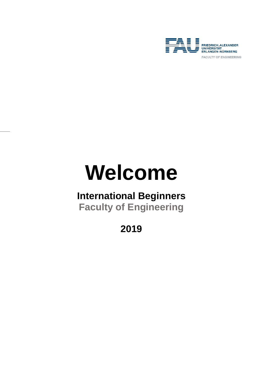

# **Welcome**

# **International Beginners**

**Faculty of Engineering**

**2019**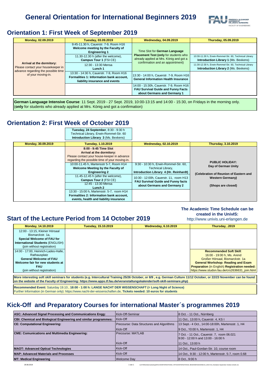

## **Orientation 1: First Week of September 2019**

| Monday, 02.09.2019                                                                                                           | Tuesday, 03.09.2019                                                                                                    | <b>Wednesday, 04.09.2019</b>                                                                                                                          | <b>Thursday, 05.09.2019</b>                                                                           |
|------------------------------------------------------------------------------------------------------------------------------|------------------------------------------------------------------------------------------------------------------------|-------------------------------------------------------------------------------------------------------------------------------------------------------|-------------------------------------------------------------------------------------------------------|
| Arrival at the dormitory:<br>Please contact your housekeeper in<br>advance regarding the possible time<br>of your moving-in. | 9:45-11.30 h, Cauerstr. 7-9, Room H16<br>Welcome meeting by the Faculty of<br><b>Engineering 1</b>                     | Time Slot for German Language<br>Placement Test (only for students who<br>already applied at Mrs. König and got a<br>confirmation and an appointment) |                                                                                                       |
|                                                                                                                              | 11.30-12.30 h (after the welcome),<br>Campus Tour 1 (FSI CE)                                                           |                                                                                                                                                       | 10:30-11:30 h, Erwin-Rommel-Str. 60, Technical Library<br><b>Introduction Library 1 (Ms. Bexkens)</b> |
|                                                                                                                              | 12:30 - 13:30 Mensa<br>Lunch 1                                                                                         |                                                                                                                                                       | 11:30-12:30 h, Erwin-Rommel-Str. 60, Technical Library<br><b>Introduction Library 2 (Ms. Bexkens)</b> |
|                                                                                                                              | 13:30 - 14:30 h, Cauerstr. 7-9, Room H16<br>Formalities 1: Information bank account,<br>liability insurance and events | 13:30 - 14:00 h, Cauerstr. 7-9, Room H16<br><b>General Information Health Insurance</b>                                                               |                                                                                                       |
|                                                                                                                              |                                                                                                                        | 14:00 - 15:30h, Cauerstr. 7-9, Room H16<br><b>FAU Survival Guide and Funny Facts</b><br>about Germans and Germany 1                                   |                                                                                                       |

**German Language Intensive Course**: 11 Sept. 2019 - 27 Sept. 2019, 10:00-13:15 and 14:00 - 15:30, on Fridays in the morning only. (**only** for students who already applied at Mrs. König and got a confirmation)

## **Orientation 2: First Week of October 2019**

|                    | Tuesday, 24 September, 8:30 - 9:30 h<br>Technical Library, Erwin-Rommel-Str. 60<br>Introduction Library 3 (Ms. Bexkens)                                                                                                                                     |                                                                                                                    |                                                                                         |
|--------------------|-------------------------------------------------------------------------------------------------------------------------------------------------------------------------------------------------------------------------------------------------------------|--------------------------------------------------------------------------------------------------------------------|-----------------------------------------------------------------------------------------|
| Monday, 30.09.2019 | Tuesday, 1.10.2019                                                                                                                                                                                                                                          | <b>Wednesday, 02.10.2019</b>                                                                                       | <b>Thursday, 3.10.2019</b>                                                              |
|                    | 8:00 - 9:45 Time Slot<br>Arrival at the dormitory:<br>Please contact your house-keeper in advance<br>regarding the possible time of your moving-in.<br>10:00-11.45 h, Martensstr 5-7, Room H14<br>Welcome Meeting by the Faculty of<br><b>Engineering 2</b> | 9:30 - 10:30 h, Erwin-Rommel-Str. 60,<br>Technical Library,<br>Introduction Library 4 (Hr. Reinhardt)              | <b>PUBLIC HOLIDAY:</b><br>Day of German Unity<br>(Celebration of Reunion of Eastern and |
|                    | 11.45-12.45 h (after the welcome),<br>Campus Tour 2 (FSI CE)<br>12:45 - 13:30 Mensa<br>Lunch 2                                                                                                                                                              | 10:30 - 12:00h, Cauerstr. 11, room H13<br><b>FAU Survival Guide and Funny facts</b><br>about Germans and Germany 2 | <b>Western Germany)</b><br>(Shops are closed)                                           |
|                    | 13:30 - 15:00 h, Martensstr. 5-7, room H14<br>Formalities 2: Information bank account,<br>events, health and liability insurance                                                                                                                            |                                                                                                                    |                                                                                         |

## **Start of the Lecture Period from 14 October 2019**

#### **The Academic Time Schedule can be created in the UnivIS:**

http://www.univis.uni-erlangen.de

| Monday, 14.10.2019                      | Tuesday, 15.10.2019 | <b>Wednesday, 6.10.2019</b> | Thursday, .2019                                |
|-----------------------------------------|---------------------|-----------------------------|------------------------------------------------|
| 12:00 - 13:15, Kleiner Hörsaal          |                     |                             |                                                |
| Bismarckstr, 1a.                        |                     |                             |                                                |
| Special Welcome of FAU for              |                     |                             |                                                |
| <b>International Students (ENGLISH)</b> |                     |                             |                                                |
| (join without registration)             |                     |                             |                                                |
| 14:00 - 17:00, Heinrich-Lades-Halle,    |                     |                             | <b>Recommended Soft Skill:</b>                 |
| Rathausplatz                            |                     |                             | 16:00 - 19:00 h, Ms. Arend                     |
| <b>General Welcome of FAU</b>           |                     |                             | Großer Hörsaal, Bismarckstr. 1a                |
| Welcome fair for new students at        |                     |                             | <b>General Workshop: Reading and Exam</b>      |
| <b>FAU</b>                              |                     |                             | Preparation (in English) Registration needed:  |
| (join without registration)             |                     |                             | https://www.studon.fau.de/crs2636631 join.html |
|                                         |                     |                             |                                                |

**More interesting soft skill seminars for students (e.g. Intercultural Training 25/26 October, or 8/9 , e.g. German Culture 11/12 October, or 22/23 November can be found on the website of the Faculty of Engineering: https://www.apps.tf.fau.de/veranstaltungskalender/soft-skill-seminare.php)**

**Recommended Event:** Saturday 19.10., **18:00 - 1:00 h: LANGE NACHT DER WISSENSCHAFT (= Long Night of Science)**  Further Information (in German only): https://www.nacht-der-wissenschaften.de, **Tickets needed: 10 euros for students**

## **Kick-Off and Preparatory Courses for international Master´s programmes 2019**

| ASC: Advanced Signal Processing and Communications Engg:         | Kick-Off-Seminar                          | 8 Oct. - 11 Oct., Nürnberg                          |
|------------------------------------------------------------------|-------------------------------------------|-----------------------------------------------------|
| CBI: Chemical and Biological Engineering and similar programmes: | Kick-Off                                  | 11 Oct., 13:00 h, Cauerstr. 4, KS I                 |
| <b>CE: Computational Engineering:</b>                            | Precourse: Data Structures and Algorithms | 13 Sept.- 4 Oct., 14:00-18:00h, Martensstr. 1, H4   |
|                                                                  | Kick-Off                                  | 9 Oct., 10:00 h, Martensstr. 1, H4                  |
| <b>CME: Comunications and Multimedia Engineering:</b>            | <b>Precourse: MATLAB</b>                  | 7 Oct. - 11 Oct., Cauerstr. 7, room 06.021          |
|                                                                  |                                           | $9:00 - 12:00$ h and 13:00 - 16:00 h                |
|                                                                  | Kick-Off                                  | 11 Oct., 13:00 h                                    |
| <b>MAOT: Advanced Optical Technologies</b>                       | Kick-Off                                  | 14 Oct., Paul-Gordan-Str. 10, course room           |
| <b>MAP: Advanced Materials and Processes</b>                     | Kick-Off                                  | 14 Oct., 9:30 - 12:00 h, Martensstr. 5-7, room 0.68 |
| <b>MT: Medical Engineering</b>                                   | <b>Welcome Day</b>                        | 8 Oct., 9:00 h                                      |

 $\footnotesize 1\ \text{von}\ 1\footnotesize$   $\footnotesize 29.08.2019$   $\footnotesize 29.08.2019$   $\footnotesize 29.08.2019$   $\footnotesize 29.08.2019$   $\footnotesize 29.08.2019$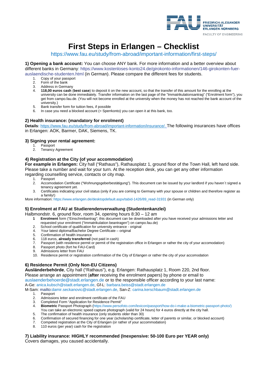

# **First Steps in Erlangen – Checklist**

https://www.fau.eu/study/from-abroad/important-information/first-steps/

**1) Opening a bank account:** You can choose ANY bank. For more information and a better overview about different banks in Germany: [https://www.kostenloses-konto24.de/girokonto-informationen/146-girokonten-fuer](https://www.kostenloses-konto24.de/girokonto-informationen/146-girokonten-fuer-auslaendische-studenten.html)[auslaendische-studenten.html](https://www.kostenloses-konto24.de/girokonto-informationen/146-girokonten-fuer-auslaendische-studenten.html) (in German). Please compare the different fees for students.<br>1. Copy of your passport

- Copy of your passport
- 2. Form of the bank<br>3. Address in Germa
- 3. Address in Germany<br>4. **118.00 euros cash**
- 4. **118,00 euros cash** (**best case**) to deposit it on the new account, so that the transfer of this amount for the enrolling at the university can be done immediately. Transfer information on the last page of the "Immatrikulationsantrag" ("Enrolment form"), you get from campo.fau.de. (You will not become enrolled at the university when the money has not reached the bank account of the university.)
- 5. Bank transfer form for tuition fees, if possible
- 6. In case you need a blocked account (= Sperrkonto) you can open it at this bank, too.

#### **2) Health insurance: (mandatory for enrolment)**

**Details:** https://www.fau.eu/study/from-abroad/important-information/insurance/. The following insurances have offices in Erlangen: AOK, Barmer, DAK, Siemens, TK.

# **3) Signing your rental agreement:**

- 1. Passport<br>2 Tenancy
- **Tenancy Agreement**

#### **4) Registration at the City (of your accommodation)**

For example in Erlangen: City hall ("Rathaus"), Rathausplatz 1, ground floor of the Town Hall, left hand side. Please take a number and wait for your turn. At the reception desk, you can get any other information regarding counselling service, contacts or city map.

- 1. Passport<br>2 Accomod
- 2. Accomodation Certificate ("Wohnungsgeberbestätigung"). This document can be issued by your landlord if you haven´t signed a tenancy agreement yet.
- 3. Certificates indicating your civil status (only if you are coming to Germany with your spouse or children and therefore register as a family!)

More information: [https://www.erlangen.de/desktopdefault.aspx/tabid-1426/89\\_read-31931](https://www.erlangen.de/desktopdefault.aspx/tabid-1426/89_read-31931) (in German only)

#### **5) Enrolment at FAU at Studierendenverwaltung (Studentenkanzlei)**

#### Halbmondstr. 6, ground floor, room 34, opening hours 8:30 – 12 am

- **1 Enrolment** form ("Einschreibantrag"; this document can be downloaded after you have received your admissions letter and requested your enrolment ("Immatrikulation beantragen") on campo.fau.de)
- 2. School [certificate](http://dict.leo.org/ende?lp=ende&p=/gQPU.&search=certificate) [of](http://dict.leo.org/ende?lp=ende&p=/gQPU.&search=of) [qualification](http://dict.leo.org/ende?lp=ende&p=/gQPU.&search=qualification) [for](http://dict.leo.org/ende?lp=ende&p=/gQPU.&search=for) [university](http://dict.leo.org/ende?lp=ende&p=/gQPU.&search=university) [entrance](http://dict.leo.org/ende?lp=ende&p=/gQPU.&search=matriculation) original<br>4. Your latest diploma/Bachelor Degree Certificate original
- 4. Your latest diploma/Bachelor Degree Certificate original
- 5. Confirmation of health insurance
- 
- 6. 118 euros, **already transferred** (not paid in cash) Passport (with residence permit or permit of the registration office in Erlangen or rather the city of your accomodation)
- 8. Passport photo (fort he FAU-Card)
- 9. Admissions letter from FAU
- 10. Residence permit or registration confirmation of the City of Erlangen or rather the city of your accomodation

#### **6) Residence Permit (Only Non-EU Citizens)**

**Ausländerbehörde**, City hall ("Rathaus"), e.g. Erlangen: Rathausplatz 1, Room 220, 2nd floor. Please arrange an appointment (**after** receiving the enrolment papers) by phone or email to [auslaenderbehoerde@stadt.erlangen.de](mailto:auslaenderbehoerde@stadt.erlangen.de) or to the responsible officer according to your last name: A-Ge: [anica.kubsch@stadt.erlangen.de,](mailto:anica.kubsch@stadt.erlangen.de) Gf-L: [barbara.beiss@stadt.erlangen.de](mailto:barbara.beiss@stadt.erlangen.de)

M-Sam[: mailto:damir.seckanovic@stadt.erlangen.de,](mailto:damir.seckanovic@stadt.erlangen.de) San-Z: [carina.kerschbaum@stadt.erlangen.de](mailto:carina.kerschbaum@stadt.erlangen.de)

- 
- 1. Passport<br>2. Admissio Admissions letter and enrolment certificate of the FAU
- 3. Completed Form "Application for Residence Permit"<br>4. Biometric Passport Photograph (https://www.persot
- 4. **Biometric** Passport Photograph [\(https://www.persofoto.com/lexicon/passport/how-do-i-make-a-biometric-passport-photo/\)](https://www.persofoto.com/lexicon/passport/how-do-i-make-a-biometric-passport-photo/) You can take an electronic speed capture photograph (valid for 24 hours) for 4 euros directly at the city hall.
- 5. The confirmation of health insurance (only students older than 30)
- 6. Confirmation of secured financing for one year (scholarship certificate, letter of parents or similar, or blocked account)<br>7. Competed registration at the City of Erlangen (or rather of your accommodation)
- 7. Competed registration at the City of Erlangen (or rather of your accommodation)<br>8. 110 euros (per year) cash for the registration
- 110 euros (per year) cash for the registration

**7) Liability insurance: HIGHLY recommended (Inexpensive: 50-100 Euro per YEAR only)** Covers damages, you caused accidentally.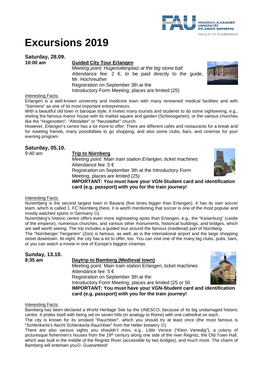

# **Excursions 2019**

**Saturday, 28.09.**

#### **6** Guided City Tour Erlangen

*Meeting point: Hugenottenplatz at the big stone ball* Attendance fee:  $2 \in \mathbb{R}$  to be paid directly to the quide, Mr. Hochreuther Registration on September 3th at the Introductory Form Meeting; places are limited (25)

#### Interesting Facts:

Erlangen is a well-known university and medicine town with many renowned medical facilities and with "Siemens" as one of its most important entrepreneurs.

With a beautiful old town in baroque style, it invites many tourists and students to do some sightseeing, e.g., visiting the famous manor house with its market square and garden (Schlossgarten), or the various churches like the "Hugenotten", "Altstädter" or "Neustädter" church.

However, Erlangen's centre has a lot more to offer: There are different cafés and restaurants for a break and for meeting friends, many possibilities to go shopping, and also some clubs, bars, and cinemas for your evening program.

#### **Saturday, 05.10.**

9:40 am **Trip to Nürnberg**

*Meeting point: Main train station Erlangen, ticket machines* Attendance fee: 5 € Registration on September 3th at the Introductory Form

Meeting; places are limited (25)

**IMPORTANT: You must have your VGN-Student card and identification card (e.g. passport) with you for the train journey!** 

#### Interesting Facts:

Nuremberg is the second largest town in Bavaria (five times bigger than Erlangen). It has its own soccer team, which is called 1. FC Nürnberg (here, it is worth mentioning that soccer is one of the most popular and mostly watched sports in Germany  $\circledcirc$ ).

Nuremberg's historic centre offers even more sightseeing spots than Erlangen, e.g., the "Kaiserburg" (castle of the emperor), numerous churches, and various other monuments, historical buildings, and bridges, which are well worth seeing. The trip includes a guided tour around the famous (medieval) part of Nürnberg.

The "Nürnberger Tiergarten" (Zoo) is famous, as well, as is the international airport and the large shopping street downtown. At night, the city has a lot to offer, too. You can visit one of the many big clubs, pubs, bars, or you can watch a movie in one of Europe's biggest cinemas.

| <b>Sunday, 13.10.</b> |                                                                          |  |
|-----------------------|--------------------------------------------------------------------------|--|
| 8:35 am               | Daytrip to Bamberg (Medieval town)                                       |  |
|                       | Meeting point: Main train station Erlangen, ticket machines              |  |
|                       | Attendance fee: $5 \in$                                                  |  |
|                       | Registration on September 3th at the                                     |  |
|                       | Introductory Form Meeting; places are limited (25 or 50)                 |  |
|                       | <b>IMPORTANT: You must have your VGN-Student card and identification</b> |  |
|                       | card (e.g. passport) with you for the train journey!                     |  |

Interesting Facts:

Bamberg has been declared a World Heritage Site by the UNESCO, because of its big undamaged historic centre. It prides itself with being set on seven hills (in analogy to Rome) with one cathedral on each.

The city is known for its smoked "Rauchbier", which you should try at least once (the most famous is "Schlenkerla's Aecht Schlenkerla Rauchbier" from the Heller brewery  $\circledcirc$ ).

There are also various sights you shouldn't miss, e.g., Little Venice ("Klein Venedig"), a colony of picturesque fishermen's houses from the 19<sup>th</sup> century along one side of the river Regnitz, the Old Town Hall, which was built in the middle of the Regnitz River (accessible by two bridges), and much more. The charm of Bamberg will entertain you<sup>(2)</sup>. Guaranteed!





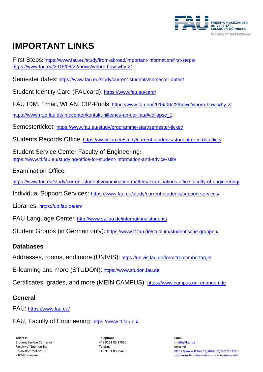

# **IMPORTANT LINKS**

First Steps:<https://www.fau.eu/study/from-abroad/important-information/first-steps/> https://www.fau.eu/2019/08/22/news/where-how-why-2/

Semester dates:<https://www.fau.eu/study/current-students/semester-dates/>

Student Identity Card (FAUcard): <https://www.fau.eu/card/>

FAU IDM, Email, WLAN, CIP-Pools: [https://www.fau.eu/2019/08/2](https://www.rrze.fau.de/infocenter/kontakt-hilfe/neu-an-der-fau/#collapse_1)2/news/where-how-why-2/

https://www.rrze.fau[.de/infocenter/kontakt-hilfe/neu-an-der-fau/#collapse\\_1](https://www.fau.eu/study/programme-start/semester-ticket/)

Semesterticket: https://ww[w.fau.eu/study/programme-start/semester-ticket/](https://www.fau.eu/study/current-students/student-records-office/)

Students Records Office: https://www.fau.eu/study/current-students/student-records-office/

Student [Service Center Faculty of](https://www.tf.fau.eu/studying/office-for-student-information-and-advice-stib/) Engineering: https://www.tf.fau.eu/studying/office-for-student-information-and-advice-stib/

[Examination Office](https://www.fau.eu/study/current-students/examination-matters/examinations-office-faculty-of-engineering/):

https://www.fau.eu/study/current-stu[dents/examination-matters/examinations-office-faculty-of-eng](https://www.fau.eu/study/current-students/support-services/)ineering/

Individual [Support Service](https://ub.fau.de/en/)s: https://www.fau.eu/study/current-students/support-services/

Libraries: https://ub.fau.de/[en/](http://www.sz.fau.de/internationalstudents)

FAU Language Center: http://www.s[z.fau.de/internationalstudents](https://www.tf.fau.de/studium/studentische-gruppen/)

Student Groups (in German only): https://www.tf.fau.de/studium/studentische-gruppen/

## **Databases**

Addresses, rooms, and more (UNIVIS): <https://univis.fau.de/form#remembertarget>

E-learning and more (STUDON): [https://www.studon.fau.de](https://www.studon.fau.de/)

Certificates, grades, and more (MEIN CAMPUS): [https://www.campus.uni-erlangen.de](https://www.campus.uni-erlangen.de/)

## **General**

FAU: <https://www.fau.eu/>

FAU, Faculty of Engineering:<https://www.tf.fau.eu/>

**Address** Student Service Center **of**  Faculty of Engineering Erwin-Rommel-Str. 60 91058 Erlangen

**Telephone** +49 9131 85 27850 **Telefax** +49 9131 85 25470